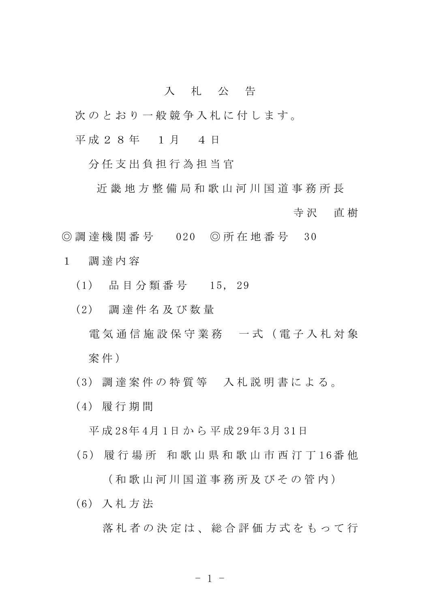## 入 札 公 告

- 次のとおり一般競争入札に付します。
- 平成 2 8 年 1 月 4 日

分 任 支 出 負 担 行 為 担 当 官

近 畿 地 方 整 備 局 和 歌 山 河 川 国 道 事 務 所 長

寺 沢 直 樹

- ◎ 調 達 機 関 番 号 020 ◎ 所 在 地 番 号 30
- 1 調 達 内 容
	- (1) 品 目 分 類 番 号 15, 29
	- (2) 調 達 件 名 及 び 数 量
		- 電 気 通 信 施 設 保 守 業 務 一 式 ( 電 子 入 札 対 象 案件)
	- (3) 調 達 案 件 の 特 質 等 入 札 説 明 書 に よ る 。
	- (4) 履 行 期 間

平 成 28年 4月 1日 か ら 平 成 29年 3月 31日

( 5 ) 履 行 場 所 和 歌 山 県 和 歌 山 市 西 汀 丁 1 6番 他

( 和 歌 山 河 川 国 道 事 務 所 及 び そ の 管 内 )

(6) 入 札 方 法

落札者の決定は、総合評価方式をもって行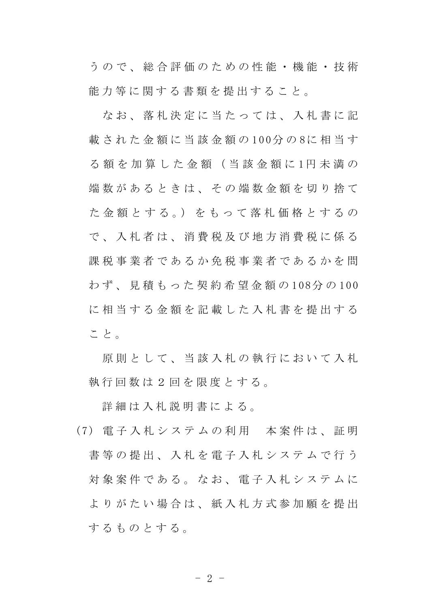う の で 、 総 合 評 価 の た め の 性 能 ・ 機 能 ・ 技 術 能力等に関する書類を提出すること。

な お 、 落 札 決 定 に 当 た っ て は 、 入 札 書 に 記 載 された金額に当該金額の100分の8に相当す る 額 を 加 算 し た 金 額 ( 当 該 金 額 に 1円 未 満 の 端数があるときは、その端数金額を切り捨て た 金 額 と す る 。) を も っ て 落 札 価 格 と す る の で 、 入 札 者 は 、 消 費 税 及 び 地 方 消 費 税 に 係 る 課税事業者であるか免税事業者であるかを問 わ ず 、 見 積 も っ た 契 約 希 望 金 額 の 1 08分 の 100 に相当する金額を記載した入札書を提出する こ と 。

原則 と し て 、 当 該 入 札 の 執 行 に お い て 入 札 執行回数は2回を限度とする。

詳 細 は 入 札 説 明 書 に よ る 。

( 7 ) 電 子 入 札 シ ス テ ム の 利 用 本 案 件 は 、 証 明 書等の提出、入札を電子入札システムで行う 対象案件である。なお、電子入札システムに よりがたい場合は、紙入札方式参加願を提出 するものとする。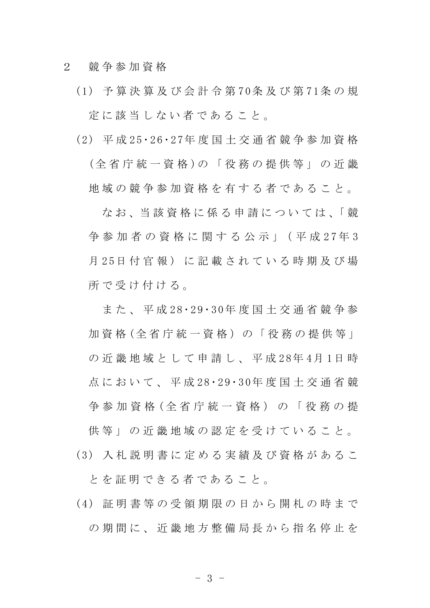2 競 争 参 加 資 格

- ( 1 ) 予 算 決 算 及 び 会 計 令 第 7 0条 及 び 第 7 1条 の 規 定に該当しない者であること。
- ( 2 ) 平 成 2 5・ 2 6 ・ 2 7年 度 国 土 交 通 省 競 争 参 加 資 格 (全 省 庁 統 一 資 格 )の 「 役 務 の 提 供 等 」 の 近 畿 地 域 の 競 争 参 加 資 格 を 有 す る 者 で あ る こ と 。

なお、当該資格に係る申請については、「競 争 参 加 者 の 資 格 に 関 す る 公 示 」( 平 成 2 7 年 3 月 25日 付 官 報) に 記 載 さ れ て い る 時 期 及 び 場 所で受け付ける。

ま た 、 平 成 28 ・ 29 ・ 30年 度 国 十 交 通 省 競 争 参 加資格 (全省庁統一資格)の「役務の提供等」 の 近 畿 地 域 と し て 申 請 し 、 平 成 28年 4月 1日 時 点 に お い て 、 平 成 28 · 29 · 30年 度 国 十 交 通 省 競 争 参 加 資 格 ( 全 省 庁 統 一 資 格 ) の 「 役 務 の 提 供 等 」 の 近 畿 地 域 の 認 定 を 受 け て い る こ と 。

( 3 ) 入 札 説 明 書 に 定 め る 実 績 及 び 資 格 が あ る こ

と を 証 明 で き る 者 で あ る こ と 。

( 4 ) 証 明 書 等 の 受 領 期 限 の 日 か ら 開 札 の 時 ま で の期間に、 近 畿 地 方 整 備 局 長 か ら 指 名 停 止 を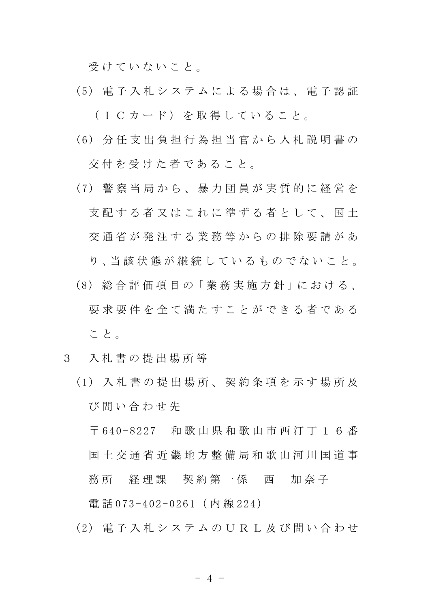受けていないこと。

- ( 5 ) 電 子 入 札 シ ス テ ム に よ る 場 合 は 、 電 子 認 証 (ICカード)を取得していること。
- ( 6 ) 分 任 支 出 負 担 行 為 担 当 官 か ら 入 札 説 明 書 の

交 付 を 受 け た 者 で あ る こ と 。

- ( 7 ) 警 察 当 局 か ら 、 暴 力 団 員 が 実 質 的 に 経 営 を 支 配 す る 者 又 は こ れ に 準 ず る 者 と し て 、 国 十 交 通 省 が 発 注 す る 業 務 等 か ら の 排 除 要 請 が あ り、当該状態が継続しているものでないこと。
- (8) 総 合 評 価 項 目 の「 業 務 実 施 方 針 」に お け る 、 要 求 要 件 を 全 て 満 た す こ と が で き る 者 で あ る こと。

## 3 入 札 書 の 提 出 場 所 等

( 1 ) 入 札 書 の 提 出 場 所 、 契 約 条 項 を 示 す 場 所 及 び 問 い 合 わ せ 先

〒 64 0 - 8 2 2 7 和 歌 山 県 和 歌 山 市 西 汀 丁 1 6 番 国 土 交 通 省 近 畿 地 方 整 備 局 和 歌 山 河 川 国 道 事 務所 経理課 契約第一係 西 加奈子 電話 073-402-0261 (内線 224)

(2) 雷子 入 札 シ ス テ ム の U R L 及 び 問 い 合 わ せ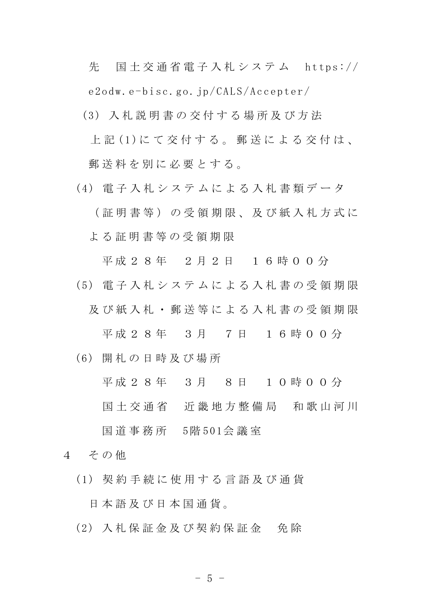先 国土交通省電子入札システム https:// e2odw.e-bisc.go.jp/CALS/Accepter/

- (3) 入 札 説 明 書 の 交 付 す る 場 所 及 び 方 法 上記(1)にて交付する。郵送による交付は、 郵送料を別に必要とする。
- (4) 電子 入札 システムによる入札書類データ

( 証 明 書 等 ) の 受 領 期 限 、 及 び 紙 入 札 方 式 に よ る 証 明 書 等 の 受 領 期 限

平成 2 8 年 2 月 2 日 1 6 時 0 0 分

( 5 ) 電 子 入 札 シ ス テ ム に よ る 入 札 書 の 受 領 期 限

及び紙入札・郵送等による入札書の受領期限

平成 2 8 年 3 月 7 日 1 6 時 0 0 分

(6) 開 札 の 日 時 及 び 場 所

平成 2 8 年 3 月 8 日 1 0 時 0 0 分

国土 交 通 省 近 畿 地 方 整 備 局 和 歌 山 河 川

国 道 事 務 所 5階 501会 議 室

- 4 その他
	- ( 1 ) 契 約 手 続 に 使 用 す る 言 語 及 び 通 貨

日 本 語 及 び 日 本 国 通 貨 。

(2) 入 札 保 証 金 及 び 契 約 保 証 金 免 除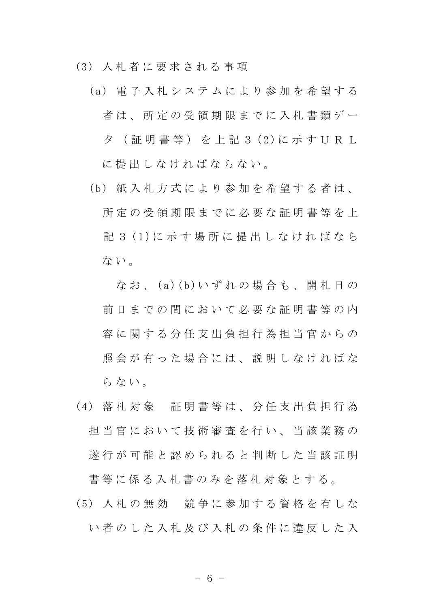(3) 入 札 者 に 要 求 さ れ る 事 項

- (a) 電子入札システムにより参加を希望する 者は、所定の受領期限までに入札書類デー タ (証 明 書 等) を 上 記 3 (2)に 示 す U R L に 提 出 し な け れ ば な ら な い。
- (b) 紙入札方式により参加を希望する者は、 所 定 の 受 領 期 限 ま で に 必 要 な 証 明 書 等 を 上 記 3 (1)に 示 す 場 所 に 提 出 し な け れ ば な ら ない。

なお、(a)(b)いずれの場合も、開札日の 前日までの間において必要な証明書等の内 容 に 関 す る 分 任 支 出 負 担 行 為 担 当 官 か ら の 照会が有った場合には、説明しなければな らない。

- ( 4 ) 落 札 対 象 証 明 書 等 は 、 分 任 支 出 負 担 行 為 担当官において技術審査を行い、当該業務の 遂 行 が 可 能 と 認 め ら れ る と 判 断 し た 当 該 証 明 書 等 に 係 る 入 札 書 の み を 落 札 対 象 と す る 。
- ( 5 ) 入 札 の 無 効 競 争 に 参 加 す る 資 格 を 有 し な い者のした入札及び入札の条件に違反した入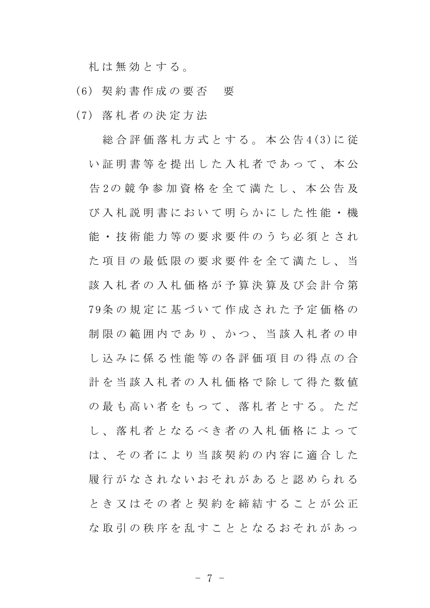札 は 無 効 と す る 。

- (6) 契 約 書 作 成 の 要 否 要
- (7) 落 札 者 の 決 定 方 法

総合評価落札方式とする。本公告4(3)に従 い証明書等を提出した入札者であって、本公 告 2の 競 争 参 加 資 格 を 全 て 満 た し 、 本 公 告 及 び 入 札 説 明 書 に お い て 明 ら か に し た 性 能 ・ 機 能 ・ 技 術 能 力 等 の 要 求 要 件 の う ち 必 須 と さ れ た項目の最低限の要求要件を全て満たし、当 該 入 札 者 の 入 札 価 格 が 予 算 決 算 及 び 会 計 令 第 7 9条 の 規 定 に 基 づ い て 作 成 さ れ た 予 定 価 格 の 制 限 の 範 囲 内 で あ り 、 か つ 、 当 該 入 札 者 の 申 し 込 み に 係 る 性 能 等 の 各 評 価 項 目 の 得 点 の 合 計 を 当 該 入 札 者 の 入 札 価 格 で 除 し て 得 た 数 値 の 最 も 高 い 者 を も っ て 、 落 札 者 と す る 。 た だ し 、 落 札 者 と な る べ き 者 の 入 札 価 格 に よ っ て は、その者により当該契約の内容に適合した 履 行 が な さ れ な い お そ れ が あ る と 認 め ら れ る と き 又 は そ の 者 と 契 約 を 締 結 す る こ と が 公 正 な取引の秩序を乱すこととなるおそれがあっ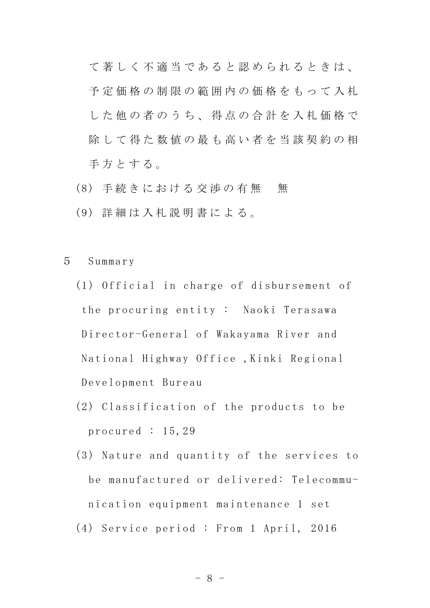て 著 し く 不 適 当 で あ る と 認 め ら れ る と き は 、 予 定 価 格 の 制 限 の 範 囲 内 の 価 格 を も っ て 入 札 し た 他 の 者 の う ち 、 得 点 の 合 計 を 入 札 価 格 で 除して得た数値の最も高い者を当該契約の相 手方とする。

- (8) 手続きにおける交渉の有無 無
- (9) 詳 細 は 入 札 説 明 書 に よ る 。

5 Summary

- $(1)$  Official in charge of disbursement of the procuring entity : Naoki Terasawa Director-General of Wakayama River and National Highway Office ,Kinki Regional Development Bureau
- (2) Classification of the products to be procured : 15,29
- (3) Nature and quantity of the services to be manufactured or delivered: Telecommunication equipment maintenance 1 set (4) Service period : From 1 April, 2016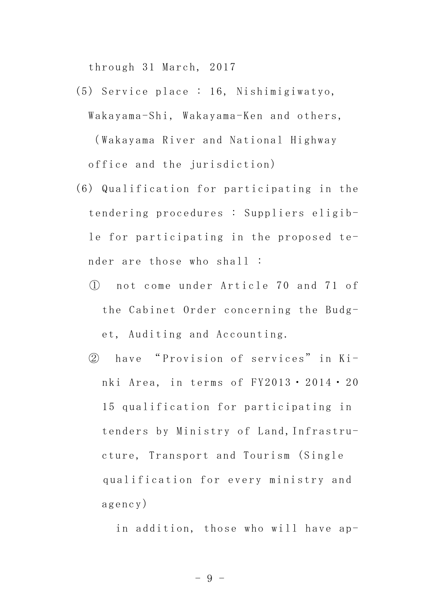through 31 March, 2017

- (5) Service place : 16, Nishimigiwatyo, Wakayama-Shi, Wakayama-Ken and others, ( Wakayama River and National Highway office and the jurisdiction)
- (6) Qualification for participating in the tendering procedures : Suppliers eligible for participating in the proposed tender are those who shall :
	- ① n o t c o m e u n d e r A r t i c l e 7 0 a n d 7 1 o f the Cabinet Order concerning the Budget, Auditing and Accounting.
	- 2 have "Provision of services" in Kinki Area, in terms of  $FY2013 \cdot 2014 \cdot 20$ 15 qualification for participating in tenders by Ministry of Land, Infrastructure, Transport and Tourism (Single qualification for every ministry and agency)

in addition, those who will have ap-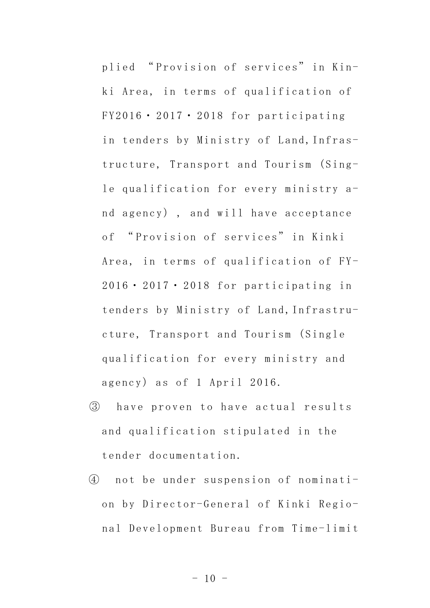plied "Provision of services" in Kinki Area, in terms of qualification of  $FY2016 \cdot 2017 \cdot 2018$  for participating in tenders by Ministry of Land, Infrastructure, Transport and Tourism (Single qualification for every ministry and agency), and will have acceptance of " Prov is ion of services" in Kinki Area, in terms of qualification of  $FY 2016 \cdot 2017 \cdot 2018$  for participating in tenders by Ministry of Land, Infrastructure, Transport and Tourism (Single qualification for every ministry and agency) as of 1 April 2016.

- 3 have proven to have actual results and qualification stipulated in the tender documentation.
- 4 not be under suspension of nomination by Director-General of Kinki Regional Development Bureau from Time-limit

 $- 10 -$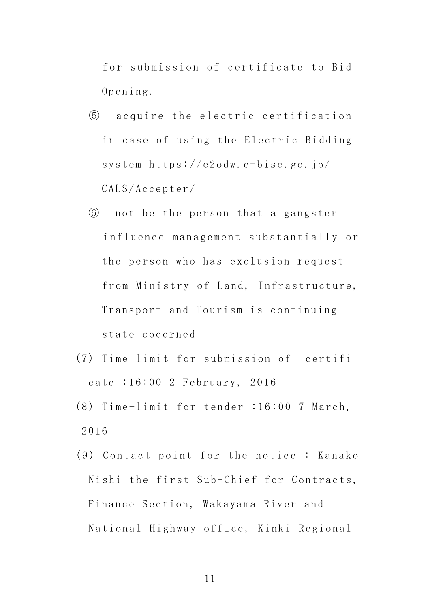for submission of certificate to Bid Opening.

- ⑤ a c q u i r e t h e e l e c t r i c c e r t i f i c a t i o n in case of using the Electric Bidding system https://e2odw.e-bisc.go.jp/ CALS/Accepter/
- ⑥ not be the person that a gangster influence management substantially or the person who has exclusion request from Ministry of Land, Infrastructure, Transport and Tourism is continuing state cocerned
- $(7)$  Time-limit for submission of certificate :16:00 2 February, 2016
- $(8)$  Time-limit for tender :16:00 7 March, 2016
- $(9)$  Contact point for the notice: Kanako Nishi the first Sub-Chief for Contracts, Finance Section, Wakayama River and National Highway office, Kinki Regional